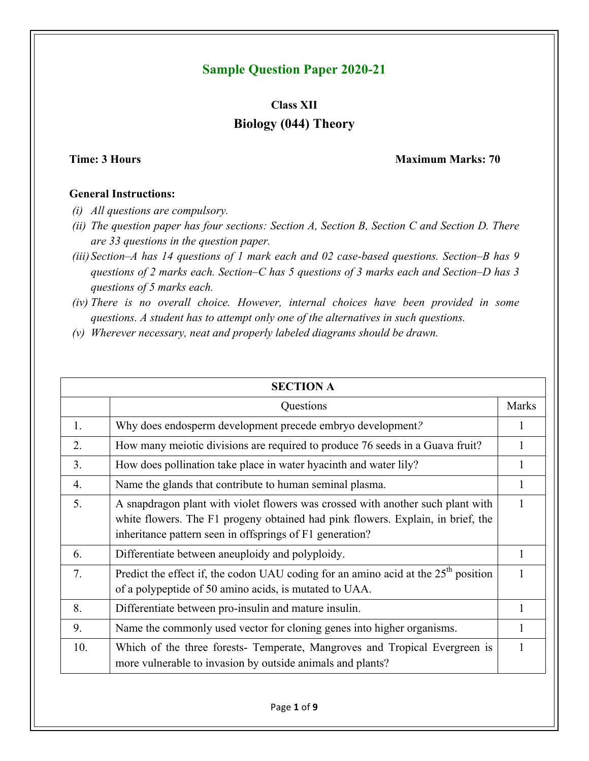## **Sample Question Paper 2020-21**

# **Class XII Biology (044) Theory**

### **Time: 3 Hours Maximum Marks: 70**

### **General Instructions:**

- *(i) All questions are compulsory.*
- *(ii) The question paper has four sections: Section A, Section B, Section C and Section D. There are 33 questions in the question paper.*
- *(iii) Section–A has 14 questions of 1 mark each and 02 case-based questions. Section–B has 9 questions of 2 marks each. Section–C has 5 questions of 3 marks each and Section–D has 3 questions of 5 marks each.*
- *(iv) There is no overall choice. However, internal choices have been provided in some questions. A student has to attempt only one of the alternatives in such questions.*
- *(v) Wherever necessary, neat and properly labeled diagrams should be drawn.*

|                  | <b>SECTION A</b>                                                                                                                                                                                                               |              |
|------------------|--------------------------------------------------------------------------------------------------------------------------------------------------------------------------------------------------------------------------------|--------------|
|                  | Questions                                                                                                                                                                                                                      | <b>Marks</b> |
| 1.               | Why does endosperm development precede embryo development?                                                                                                                                                                     | 1            |
| 2.               | How many meiotic divisions are required to produce 76 seeds in a Guava fruit?                                                                                                                                                  |              |
| 3 <sub>1</sub>   | How does pollination take place in water hyacinth and water lily?                                                                                                                                                              | 1            |
| $\overline{4}$ . | Name the glands that contribute to human seminal plasma.                                                                                                                                                                       | 1            |
| 5.               | A snapdragon plant with violet flowers was crossed with another such plant with<br>white flowers. The F1 progeny obtained had pink flowers. Explain, in brief, the<br>inheritance pattern seen in offsprings of F1 generation? | 1            |
| 6                | Differentiate between aneuploidy and polyploidy.                                                                                                                                                                               | 1            |
| 7.               | Predict the effect if, the codon UAU coding for an amino acid at the $25th$ position<br>of a polypeptide of 50 amino acids, is mutated to UAA.                                                                                 |              |
| 8.               | Differentiate between pro-insulin and mature insulin.                                                                                                                                                                          | 1            |
| 9.               | Name the commonly used vector for cloning genes into higher organisms.                                                                                                                                                         | 1            |
| 10.              | Which of the three forests- Temperate, Mangroves and Tropical Evergreen is<br>more vulnerable to invasion by outside animals and plants?                                                                                       |              |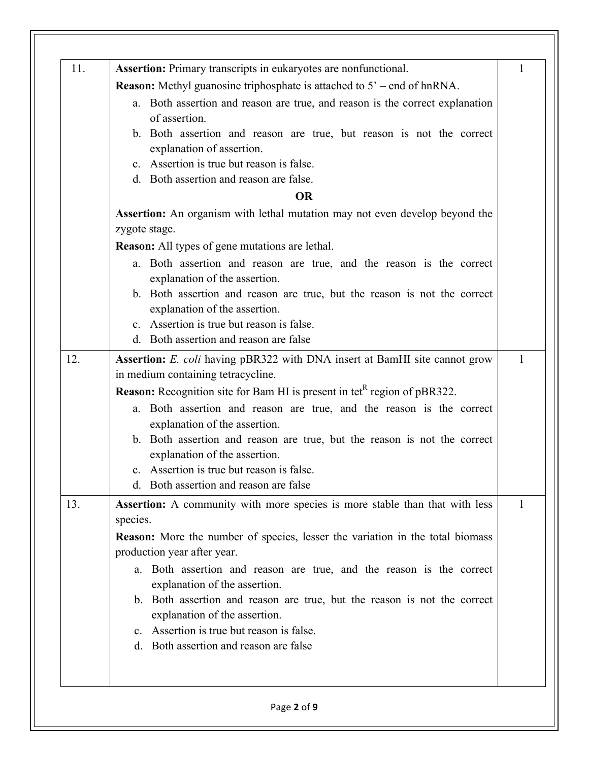| 11. | <b>Assertion:</b> Primary transcripts in eukaryotes are nonfunctional.                            | 1 |
|-----|---------------------------------------------------------------------------------------------------|---|
|     | <b>Reason:</b> Methyl guanosine triphosphate is attached to $5'$ – end of hnRNA.                  |   |
|     | a. Both assertion and reason are true, and reason is the correct explanation<br>of assertion.     |   |
|     | b. Both assertion and reason are true, but reason is not the correct<br>explanation of assertion. |   |
|     | c. Assertion is true but reason is false.                                                         |   |
|     | d. Both assertion and reason are false.                                                           |   |
|     | <b>OR</b>                                                                                         |   |
|     | <b>Assertion:</b> An organism with lethal mutation may not even develop beyond the                |   |
|     | zygote stage.                                                                                     |   |
|     | <b>Reason:</b> All types of gene mutations are lethal.                                            |   |
|     | a. Both assertion and reason are true, and the reason is the correct                              |   |
|     | explanation of the assertion.                                                                     |   |
|     | b. Both assertion and reason are true, but the reason is not the correct                          |   |
|     | explanation of the assertion.                                                                     |   |
|     | c. Assertion is true but reason is false.                                                         |   |
|     | d. Both assertion and reason are false                                                            |   |
| 12. | Assertion: E. coli having pBR322 with DNA insert at BamHI site cannot grow                        | 1 |
|     | in medium containing tetracycline.                                                                |   |
|     | <b>Reason:</b> Recognition site for Bam HI is present in tet <sup>R</sup> region of pBR322.       |   |
|     | a. Both assertion and reason are true, and the reason is the correct                              |   |
|     | explanation of the assertion.                                                                     |   |
|     | b. Both assertion and reason are true, but the reason is not the correct                          |   |
|     | explanation of the assertion.                                                                     |   |
|     | c. Assertion is true but reason is false.<br>d. Both assertion and reason are false               |   |
|     |                                                                                                   |   |
| 13. | Assertion: A community with more species is more stable than that with less<br>species.           | 1 |
|     | <b>Reason:</b> More the number of species, lesser the variation in the total biomass              |   |
|     | production year after year.                                                                       |   |
|     | a. Both assertion and reason are true, and the reason is the correct                              |   |
|     | explanation of the assertion.                                                                     |   |
|     | b. Both assertion and reason are true, but the reason is not the correct                          |   |
|     | explanation of the assertion.                                                                     |   |
|     | c. Assertion is true but reason is false.                                                         |   |
|     | d. Both assertion and reason are false                                                            |   |
|     |                                                                                                   |   |
|     |                                                                                                   |   |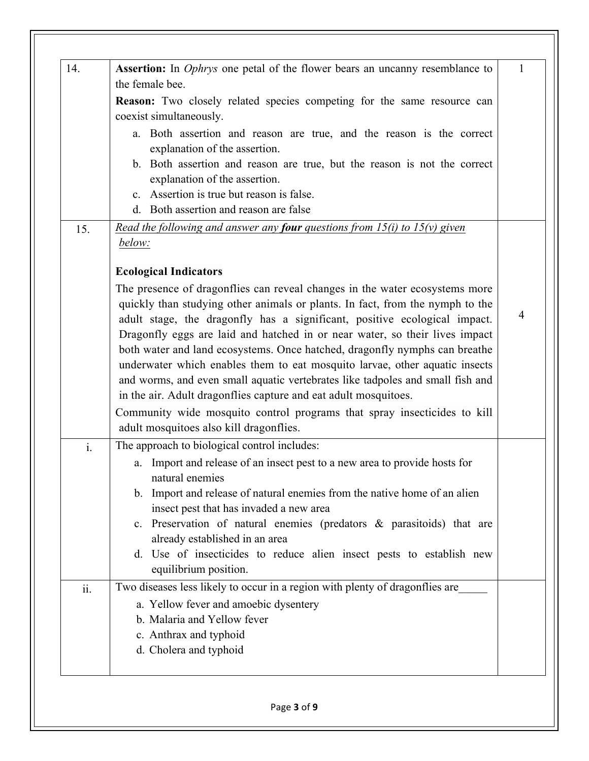| 14.            | <b>Assertion:</b> In <i>Ophrys</i> one petal of the flower bears an uncanny resemblance to                                                                                                                                                | 1              |
|----------------|-------------------------------------------------------------------------------------------------------------------------------------------------------------------------------------------------------------------------------------------|----------------|
|                | the female bee.                                                                                                                                                                                                                           |                |
|                | <b>Reason:</b> Two closely related species competing for the same resource can<br>coexist simultaneously.                                                                                                                                 |                |
|                | a. Both assertion and reason are true, and the reason is the correct                                                                                                                                                                      |                |
|                | explanation of the assertion.<br>b. Both assertion and reason are true, but the reason is not the correct                                                                                                                                 |                |
|                | explanation of the assertion.                                                                                                                                                                                                             |                |
|                | c. Assertion is true but reason is false.                                                                                                                                                                                                 |                |
|                | d. Both assertion and reason are false                                                                                                                                                                                                    |                |
| 15.            | <u>Read the following and answer any four questions from 15(i) to 15(v) given</u><br>below:                                                                                                                                               |                |
|                | <b>Ecological Indicators</b>                                                                                                                                                                                                              |                |
|                | The presence of dragonflies can reveal changes in the water ecosystems more<br>quickly than studying other animals or plants. In fact, from the nymph to the<br>adult stage, the dragonfly has a significant, positive ecological impact. | $\overline{4}$ |
|                | Dragonfly eggs are laid and hatched in or near water, so their lives impact<br>both water and land ecosystems. Once hatched, dragonfly nymphs can breathe                                                                                 |                |
|                | underwater which enables them to eat mosquito larvae, other aquatic insects<br>and worms, and even small aquatic vertebrates like tadpoles and small fish and                                                                             |                |
|                | in the air. Adult dragonflies capture and eat adult mosquitoes.<br>Community wide mosquito control programs that spray insecticides to kill<br>adult mosquitoes also kill dragonflies.                                                    |                |
| $\mathbf{i}$ . | The approach to biological control includes:                                                                                                                                                                                              |                |
|                | a. Import and release of an insect pest to a new area to provide hosts for<br>natural enemies                                                                                                                                             |                |
|                | b. Import and release of natural enemies from the native home of an alien<br>insect pest that has invaded a new area                                                                                                                      |                |
|                | c. Preservation of natural enemies (predators & parasitoids) that are<br>already established in an area                                                                                                                                   |                |
|                | d. Use of insecticides to reduce alien insect pests to establish new<br>equilibrium position.                                                                                                                                             |                |
| ii.            | Two diseases less likely to occur in a region with plenty of dragonflies are                                                                                                                                                              |                |
|                | a. Yellow fever and amoebic dysentery                                                                                                                                                                                                     |                |
|                | b. Malaria and Yellow fever                                                                                                                                                                                                               |                |
|                | c. Anthrax and typhoid                                                                                                                                                                                                                    |                |
|                | d. Cholera and typhoid                                                                                                                                                                                                                    |                |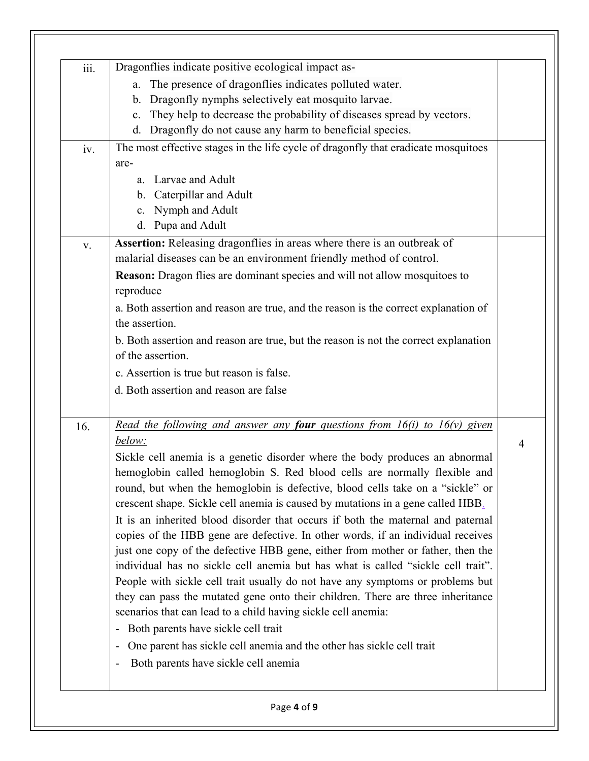| iii. | Dragonflies indicate positive ecological impact as-                                                                                                         |   |
|------|-------------------------------------------------------------------------------------------------------------------------------------------------------------|---|
|      | The presence of dragonflies indicates polluted water.<br>a.                                                                                                 |   |
|      | Dragonfly nymphs selectively eat mosquito larvae.<br>$\mathbf{b}$ .                                                                                         |   |
|      | They help to decrease the probability of diseases spread by vectors.<br>$\mathbf{c}$ .                                                                      |   |
|      | d. Dragonfly do not cause any harm to beneficial species.                                                                                                   |   |
| iv.  | The most effective stages in the life cycle of dragonfly that eradicate mosquitoes                                                                          |   |
|      | are-                                                                                                                                                        |   |
|      | a. Larvae and Adult                                                                                                                                         |   |
|      | b. Caterpillar and Adult                                                                                                                                    |   |
|      | c. Nymph and Adult                                                                                                                                          |   |
|      | d. Pupa and Adult                                                                                                                                           |   |
| V.   | Assertion: Releasing dragonflies in areas where there is an outbreak of                                                                                     |   |
|      | malarial diseases can be an environment friendly method of control.                                                                                         |   |
|      | Reason: Dragon flies are dominant species and will not allow mosquitoes to<br>reproduce                                                                     |   |
|      | a. Both assertion and reason are true, and the reason is the correct explanation of<br>the assertion.                                                       |   |
|      | b. Both assertion and reason are true, but the reason is not the correct explanation<br>of the assertion.                                                   |   |
|      | c. Assertion is true but reason is false.                                                                                                                   |   |
|      | d. Both assertion and reason are false                                                                                                                      |   |
|      |                                                                                                                                                             |   |
| 16.  | Read the following and answer any <b>four</b> questions from $16(i)$ to $16(v)$ given                                                                       |   |
|      | below:                                                                                                                                                      | 4 |
|      | Sickle cell anemia is a genetic disorder where the body produces an abnormal                                                                                |   |
|      | hemoglobin called hemoglobin S. Red blood cells are normally flexible and<br>round, but when the hemoglobin is defective, blood cells take on a "sickle" or |   |
|      | crescent shape. Sickle cell anemia is caused by mutations in a gene called HBB.                                                                             |   |
|      | It is an inherited blood disorder that occurs if both the maternal and paternal                                                                             |   |
|      | copies of the HBB gene are defective. In other words, if an individual receives                                                                             |   |
|      | just one copy of the defective HBB gene, either from mother or father, then the                                                                             |   |
|      | individual has no sickle cell anemia but has what is called "sickle cell trait".                                                                            |   |
|      | People with sickle cell trait usually do not have any symptoms or problems but                                                                              |   |
|      | they can pass the mutated gene onto their children. There are three inheritance                                                                             |   |
|      | scenarios that can lead to a child having sickle cell anemia:                                                                                               |   |
|      | Both parents have sickle cell trait<br>$\overline{\phantom{0}}$                                                                                             |   |
|      | One parent has sickle cell anemia and the other has sickle cell trait<br>-                                                                                  |   |
|      | Both parents have sickle cell anemia<br>$\qquad \qquad \blacksquare$                                                                                        |   |
|      |                                                                                                                                                             |   |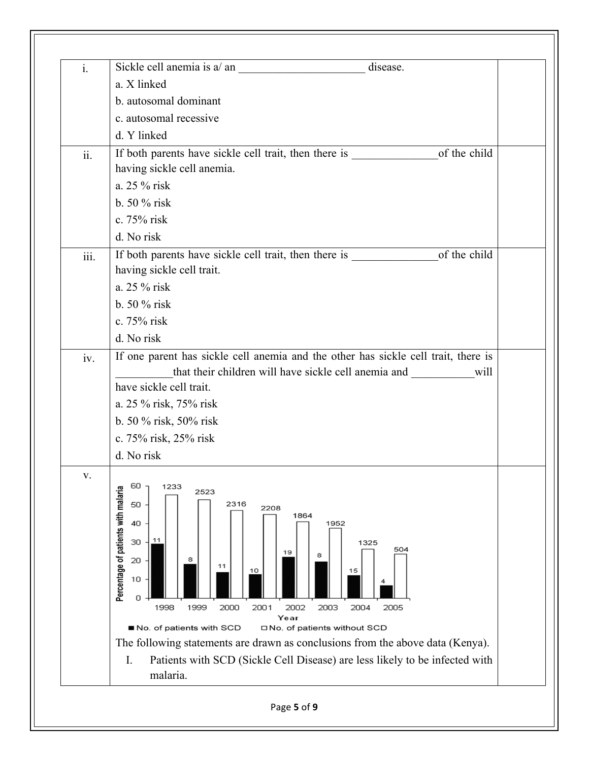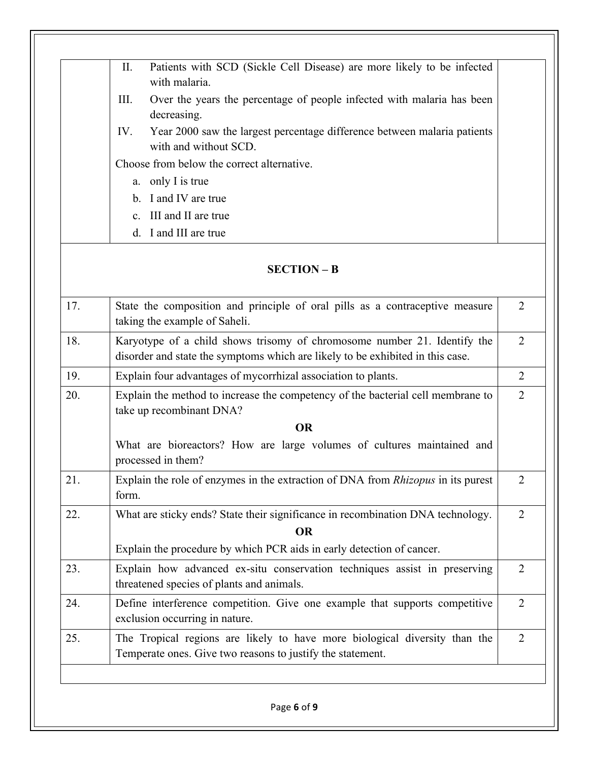|     | Patients with SCD (Sickle Cell Disease) are more likely to be infected<br>II.<br>with malaria.                                                             |                |
|-----|------------------------------------------------------------------------------------------------------------------------------------------------------------|----------------|
|     | III.<br>Over the years the percentage of people infected with malaria has been<br>decreasing.                                                              |                |
|     | Year 2000 saw the largest percentage difference between malaria patients<br>IV.<br>with and without SCD.                                                   |                |
|     | Choose from below the correct alternative.                                                                                                                 |                |
|     | a. only I is true                                                                                                                                          |                |
|     | b. I and IV are true                                                                                                                                       |                |
|     | c. III and II are true                                                                                                                                     |                |
|     | d. I and III are true                                                                                                                                      |                |
|     | $SECTION - B$                                                                                                                                              |                |
| 17. | State the composition and principle of oral pills as a contraceptive measure<br>taking the example of Saheli.                                              | $\overline{2}$ |
| 18. | Karyotype of a child shows trisomy of chromosome number 21. Identify the<br>disorder and state the symptoms which are likely to be exhibited in this case. | $\overline{2}$ |
| 19. | Explain four advantages of mycorrhizal association to plants.                                                                                              | $\overline{2}$ |
| 20. | Explain the method to increase the competency of the bacterial cell membrane to<br>take up recombinant DNA?                                                | $\overline{2}$ |
|     | <b>OR</b>                                                                                                                                                  |                |

|     | What are bioreactors? How are large volumes of cultures maintained and<br>processed in them?     |  |
|-----|--------------------------------------------------------------------------------------------------|--|
| 21. | Explain the role of enzymes in the extraction of DNA from <i>Rhizopus</i> in its purest<br>form. |  |
|     |                                                                                                  |  |

22. What are sticky ends? State their significance in recombination DNA technology. **OR** Explain the procedure by which PCR aids in early detection of cancer. 2 2

23. Explain how advanced ex-situ conservation techniques assist in preserving threatened species of plants and animals. 24. Define interference competition. Give one example that supports competitive exclusion occurring in nature. 2 25. The Tropical regions are likely to have more biological diversity than the Temperate ones. Give two reasons to justify the statement. 2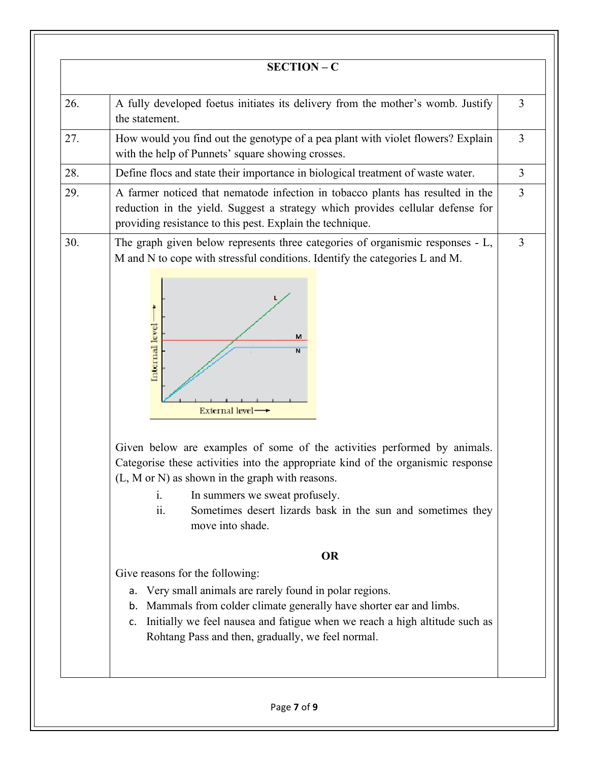|     | $SECTION - C$                                                                                                                                                                                                                                                                                                                                                                                                                                                                                                                                                                                                                                                                                                                                                                                                                                                                                                                                                    |                |
|-----|------------------------------------------------------------------------------------------------------------------------------------------------------------------------------------------------------------------------------------------------------------------------------------------------------------------------------------------------------------------------------------------------------------------------------------------------------------------------------------------------------------------------------------------------------------------------------------------------------------------------------------------------------------------------------------------------------------------------------------------------------------------------------------------------------------------------------------------------------------------------------------------------------------------------------------------------------------------|----------------|
| 26. | A fully developed foetus initiates its delivery from the mother's womb. Justify<br>the statement.                                                                                                                                                                                                                                                                                                                                                                                                                                                                                                                                                                                                                                                                                                                                                                                                                                                                | $\overline{3}$ |
| 27. | How would you find out the genotype of a pea plant with violet flowers? Explain<br>with the help of Punnets' square showing crosses.                                                                                                                                                                                                                                                                                                                                                                                                                                                                                                                                                                                                                                                                                                                                                                                                                             | $\overline{3}$ |
| 28. | Define flocs and state their importance in biological treatment of waste water.                                                                                                                                                                                                                                                                                                                                                                                                                                                                                                                                                                                                                                                                                                                                                                                                                                                                                  | $\overline{3}$ |
| 29. | A farmer noticed that nematode infection in tobacco plants has resulted in the<br>reduction in the yield. Suggest a strategy which provides cellular defense for<br>providing resistance to this pest. Explain the technique.                                                                                                                                                                                                                                                                                                                                                                                                                                                                                                                                                                                                                                                                                                                                    | $\overline{3}$ |
| 30. | The graph given below represents three categories of organismic responses - L,<br>M and N to cope with stressful conditions. Identify the categories L and M.<br>Internal level<br>M<br>$\overline{\mathsf{N}}$<br>External level $\longrightarrow$<br>Given below are examples of some of the activities performed by animals.<br>Categorise these activities into the appropriate kind of the organismic response<br>(L, M or N) as shown in the graph with reasons.<br>In summers we sweat profusely.<br>$\mathbf{i}$ .<br>Sometimes desert lizards bask in the sun and sometimes they<br>11.<br>move into shade.<br><b>OR</b><br>Give reasons for the following:<br>Very small animals are rarely found in polar regions.<br>a.<br>b. Mammals from colder climate generally have shorter ear and limbs.<br>Initially we feel nausea and fatigue when we reach a high altitude such as<br>$\mathsf{C}$ .<br>Rohtang Pass and then, gradually, we feel normal. | $\overline{3}$ |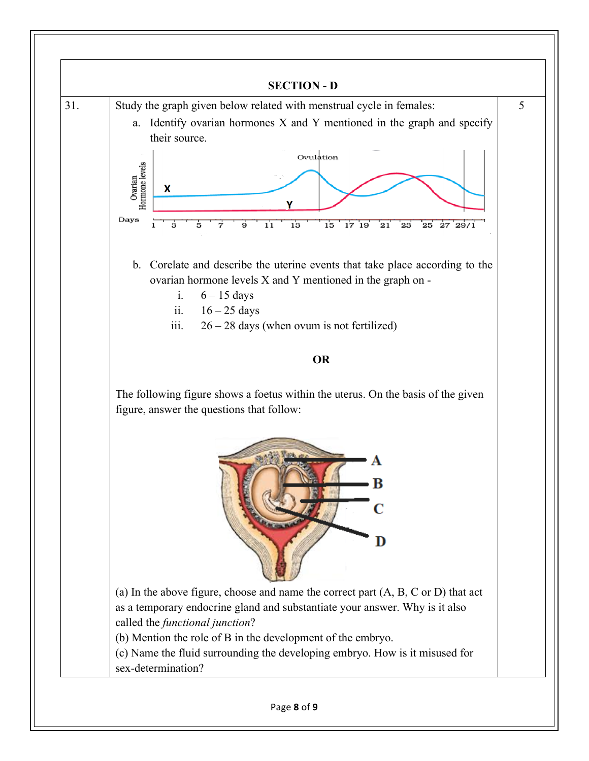